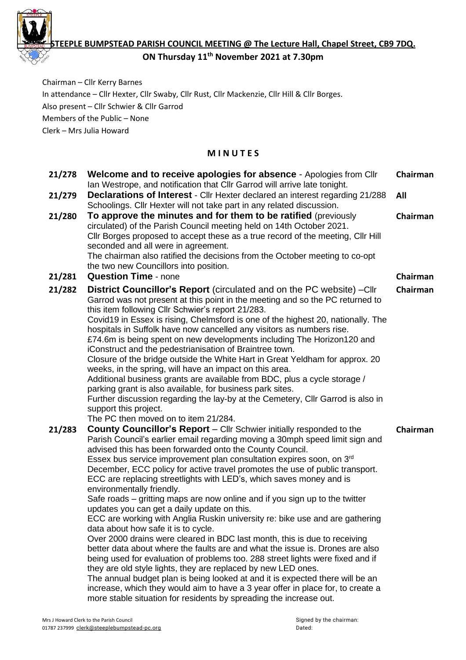

**STEEPLE BUMPSTEAD PARISH COUNCIL MEETING @ The Lecture Hall, Chapel Street, CB9 7DQ.** 

**ON Thursday 11 th November 2021 at 7.30pm**

Chairman – Cllr Kerry Barnes In attendance – Cllr Hexter, Cllr Swaby, Cllr Rust, Cllr Mackenzie, Cllr Hill & Cllr Borges. Also present – Cllr Schwier & Cllr Garrod Members of the Public – None Clerk – Mrs Julia Howard

# **M I N U T E S**

| 21/278 | Welcome and to receive apologies for absence - Apologies from Cllr<br>Ian Westrope, and notification that CIIr Garrod will arrive late tonight.                                                                                                                                                                                                                                                                                                                                                                                                                                                                                                                                                                                                                                                                                                                                                                                                                                                                                                                                                                                                                                                                                                                                                                 | Chairman |
|--------|-----------------------------------------------------------------------------------------------------------------------------------------------------------------------------------------------------------------------------------------------------------------------------------------------------------------------------------------------------------------------------------------------------------------------------------------------------------------------------------------------------------------------------------------------------------------------------------------------------------------------------------------------------------------------------------------------------------------------------------------------------------------------------------------------------------------------------------------------------------------------------------------------------------------------------------------------------------------------------------------------------------------------------------------------------------------------------------------------------------------------------------------------------------------------------------------------------------------------------------------------------------------------------------------------------------------|----------|
| 21/279 | <b>Declarations of Interest</b> - Cllr Hexter declared an interest regarding 21/288<br>Schoolings. Cllr Hexter will not take part in any related discussion.                                                                                                                                                                                                                                                                                                                                                                                                                                                                                                                                                                                                                                                                                                                                                                                                                                                                                                                                                                                                                                                                                                                                                    | All      |
| 21/280 | To approve the minutes and for them to be ratified (previously<br>circulated) of the Parish Council meeting held on 14th October 2021.<br>Cllr Borges proposed to accept these as a true record of the meeting, Cllr Hill<br>seconded and all were in agreement.<br>The chairman also ratified the decisions from the October meeting to co-opt<br>the two new Councillors into position.                                                                                                                                                                                                                                                                                                                                                                                                                                                                                                                                                                                                                                                                                                                                                                                                                                                                                                                       | Chairman |
| 21/281 | <b>Question Time - none</b>                                                                                                                                                                                                                                                                                                                                                                                                                                                                                                                                                                                                                                                                                                                                                                                                                                                                                                                                                                                                                                                                                                                                                                                                                                                                                     | Chairman |
| 21/282 | <b>District Councillor's Report</b> (circulated and on the PC website) - Cllr<br>Garrod was not present at this point in the meeting and so the PC returned to<br>this item following Cllr Schwier's report 21/283.<br>Covid19 in Essex is rising, Chelmsford is one of the highest 20, nationally. The<br>hospitals in Suffolk have now cancelled any visitors as numbers rise.<br>£74.6m is being spent on new developments including The Horizon120 and<br>iConstruct and the pedestrianisation of Braintree town.<br>Closure of the bridge outside the White Hart in Great Yeldham for approx. 20<br>weeks, in the spring, will have an impact on this area.<br>Additional business grants are available from BDC, plus a cycle storage /<br>parking grant is also available, for business park sites.<br>Further discussion regarding the lay-by at the Cemetery, Cllr Garrod is also in<br>support this project.<br>The PC then moved on to item 21/284.                                                                                                                                                                                                                                                                                                                                                  | Chairman |
| 21/283 | <b>County Councillor's Report</b> – Cllr Schwier initially responded to the<br>Parish Council's earlier email regarding moving a 30mph speed limit sign and<br>advised this has been forwarded onto the County Council.<br>Essex bus service improvement plan consultation expires soon, on 3 <sup>rd</sup><br>December, ECC policy for active travel promotes the use of public transport.<br>ECC are replacing streetlights with LED's, which saves money and is<br>environmentally friendly.<br>Safe roads – gritting maps are now online and if you sign up to the twitter<br>updates you can get a daily update on this.<br>ECC are working with Anglia Ruskin university re: bike use and are gathering<br>data about how safe it is to cycle.<br>Over 2000 drains were cleared in BDC last month, this is due to receiving<br>better data about where the faults are and what the issue is. Drones are also<br>being used for evaluation of problems too. 288 street lights were fixed and if<br>they are old style lights, they are replaced by new LED ones.<br>The annual budget plan is being looked at and it is expected there will be an<br>increase, which they would aim to have a 3 year offer in place for, to create a<br>more stable situation for residents by spreading the increase out. | Chairman |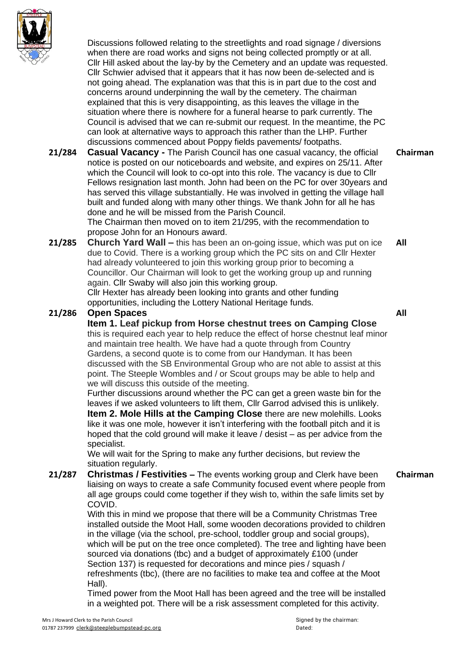

Discussions followed relating to the streetlights and road signage / diversions when there are road works and signs not being collected promptly or at all. Cllr Hill asked about the lay-by by the Cemetery and an update was requested. Cllr Schwier advised that it appears that it has now been de-selected and is not going ahead. The explanation was that this is in part due to the cost and concerns around underpinning the wall by the cemetery. The chairman explained that this is very disappointing, as this leaves the village in the situation where there is nowhere for a funeral hearse to park currently. The Council is advised that we can re-submit our request. In the meantime, the PC can look at alternative ways to approach this rather than the LHP. Further discussions commenced about Poppy fields pavements/ footpaths.

**21/284 Casual Vacancy -** The Parish Council has one casual vacancy, the official notice is posted on our noticeboards and website, and expires on 25/11. After which the Council will look to co-opt into this role. The vacancy is due to Cllr Fellows resignation last month. John had been on the PC for over 30years and has served this village substantially. He was involved in getting the village hall built and funded along with many other things. We thank John for all he has done and he will be missed from the Parish Council. The Chairman then moved on to item 21/295, with the recommendation to **Chairman**

propose John for an Honours award.

**21/285 Church Yard Wall –** this has been an on-going issue, which was put on ice due to Covid. There is a working group which the PC sits on and Cllr Hexter had already volunteered to join this working group prior to becoming a Councillor. Our Chairman will look to get the working group up and running again. Cllr Swaby will also join this working group. Cllr Hexter has already been looking into grants and other funding opportunities, including the Lottery National Heritage funds. **All**

## **21/286 Open Spaces**

**Item 1. Leaf pickup from Horse chestnut trees on Camping Close** this is required each year to help reduce the effect of horse chestnut leaf minor and maintain tree health. We have had a quote through from Country Gardens, a second quote is to come from our Handyman. It has been discussed with the SB Environmental Group who are not able to assist at this point. The Steeple Wombles and / or Scout groups may be able to help and we will discuss this outside of the meeting.

Further discussions around whether the PC can get a green waste bin for the leaves if we asked volunteers to lift them, Cllr Garrod advised this is unlikely.

**Item 2. Mole Hills at the Camping Close** there are new molehills. Looks like it was one mole, however it isn't interfering with the football pitch and it is hoped that the cold ground will make it leave / desist – as per advice from the specialist.

We will wait for the Spring to make any further decisions, but review the situation regularly.

**21/287 Christmas / Festivities –** The events working group and Clerk have been liaising on ways to create a safe Community focused event where people from all age groups could come together if they wish to, within the safe limits set by COVID. **Chairman**

With this in mind we propose that there will be a Community Christmas Tree installed outside the Moot Hall, some wooden decorations provided to children in the village (via the school, pre-school, toddler group and social groups), which will be put on the tree once completed). The tree and lighting have been sourced via donations (tbc) and a budget of approximately £100 (under Section 137) is requested for decorations and mince pies / squash / refreshments (tbc), (there are no facilities to make tea and coffee at the Moot Hall).

Timed power from the Moot Hall has been agreed and the tree will be installed in a weighted pot. There will be a risk assessment completed for this activity.

**All**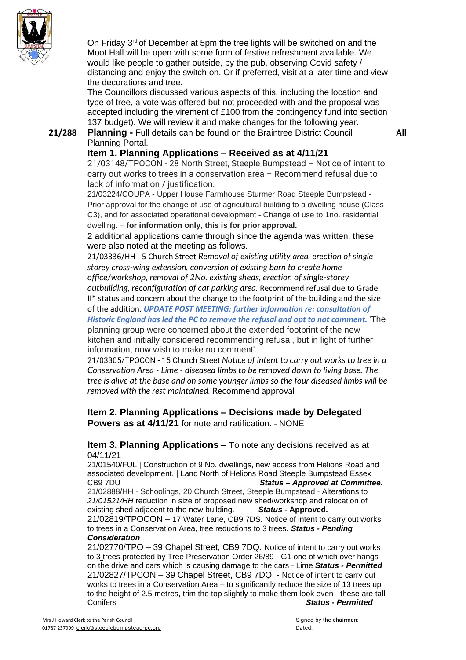

On Friday 3<sup>rd</sup> of December at 5pm the tree lights will be switched on and the Moot Hall will be open with some form of festive refreshment available. We would like people to gather outside, by the pub, observing Covid safety / distancing and enjoy the switch on. Or if preferred, visit at a later time and view the decorations and tree.

The Councillors discussed various aspects of this, including the location and type of tree, a vote was offered but not proceeded with and the proposal was accepted including the virement of £100 from the contingency fund into section 137 budget). We will review it and make changes for the following year.

**21/288 Planning -** Full details can be found on the Braintree District Council Planning Portal.

**All**

## **Item 1. Planning Applications – Received as at 4/11/21**

21/03148/TPOCON - 28 North Street, Steeple Bumpstead – Notice of intent to carry out works to trees in a conservation area – Recommend refusal due to lack of information / justification.

21/03224/COUPA - Upper House Farmhouse Sturmer Road Steeple Bumpstead - Prior approval for the change of use of agricultural building to a dwelling house (Class C3), and for associated operational development - Change of use to 1no. residential dwelling. – **for information only, this is for prior approval.**

2 additional applications came through since the agenda was written, these were also noted at the meeting as follows.

21/03336/HH - 5 Church Street *Removal of existing utility area, erection of single storey cross-wing extension, conversion of existing barn to create home office/workshop, removal of 2No. existing sheds, erection of single-storey outbuilding, reconfiguration of car parking area.* Recommend refusal due to Grade

II\* status and concern about the change to the footprint of the building and the size of the addition. *UPDATE POST MEETING: further information re: consultation of*

*Historic England has led the PC to remove the refusal and opt to not comment.* 'The planning group were concerned about the extended footprint of the new kitchen and initially considered recommending refusal, but in light of further information, now wish to make no comment'.

21/03305/TPOCON - 15 Church Street *Notice of intent to carry out works to tree in a Conservation Area - Lime - diseased limbs to be removed down to living base. The tree is alive at the base and on some younger limbs so the four diseased limbs will be removed with the rest maintained.* Recommend approval

## **Item 2. Planning Applications – Decisions made by Delegated Powers as at 4/11/21** for note and ratification. - NONE

### **Item 3. Planning Applications –** To note any decisions received as at 04/11/21

21/01540/FUL | Construction of 9 No. dwellings, new access from Helions Road and associated development. | Land North of Helions Road Steeple Bumpstead Essex CB9 7DU *Status – Approved at Committee.* 21/02888/HH - Schoolings, 20 Church Street, Steeple Bumpstead - Alterations to *21/01521/HH* reduction in size of proposed new shed/workshop and relocation of existing shed adjacent to the new building. *Status -* **Approved***.* 21/02819/TPOCON – 17 Water Lane, CB9 7DS. Notice of intent to carry out works to trees in a Conservation Area, tree reductions to 3 trees. *Status - Pending Consideration*

#### 21/02770/TPO – 39 Chapel Street, CB9 7DQ. [Notice](https://publicaccess.braintree.gov.uk/online-applications/applicationDetails.do?activeTab=summary&keyVal=QZ2KG8BFFWZ00&prevPage=inTray) of intent to carry out works to 3 trees protected by Tree [Preservation](https://publicaccess.braintree.gov.uk/online-applications/applicationDetails.do?activeTab=summary&keyVal=QZ2KG8BFFWZ00&prevPage=inTray) Order 26/89 - G1 one of which over hangs on the drive and cars which is causing [damage](https://publicaccess.braintree.gov.uk/online-applications/applicationDetails.do?activeTab=summary&keyVal=QZ2KG8BFFWZ00&prevPage=inTray) to the cars - Lime *Status - Permitted* 21/02827/TPCON – 39 Chapel Street, CB9 7DQ. - [Notice](https://publicaccess.braintree.gov.uk/online-applications/applicationDetails.do?activeTab=summary&keyVal=QZDIYKBF07E00&prevPage=inTray) of intent to carry out works to trees in a [Conservation](https://publicaccess.braintree.gov.uk/online-applications/applicationDetails.do?activeTab=summary&keyVal=QZDIYKBF07E00&prevPage=inTray) Area – to significantly reduce the size of 13 trees up to the height of 2.5 [metres,](https://publicaccess.braintree.gov.uk/online-applications/applicationDetails.do?activeTab=summary&keyVal=QZDIYKBF07E00&prevPage=inTray) trim the top slightly to make them look even - these are tall [Conifers](https://publicaccess.braintree.gov.uk/online-applications/applicationDetails.do?activeTab=summary&keyVal=QZDIYKBF07E00&prevPage=inTray) *Status - Permitted*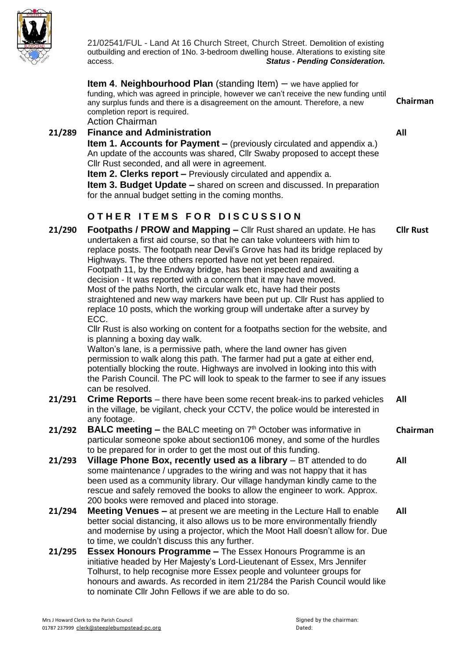

21/02541/FUL - Land At 16 Church Street, Church Street. Demolition of existing outbuilding and erection of 1No. 3-bedroom dwelling house. Alterations to existing site access. *Status - Pending Consideration.*

**Item 4**. **Neighbourhood Plan** (standing Item) – we have applied for funding, which was agreed in principle, however we can't receive the new funding until any surplus funds and there is a disagreement on the amount. Therefore, a new completion report is required. **Chairman**

Action Chairman

**All**

- **21/289 Finance and Administration Item 1. Accounts for Payment –** (previously circulated and appendix a.) An update of the accounts was shared, Cllr Swaby proposed to accept these Cllr Rust seconded, and all were in agreement. **Item 2. Clerks report –** Previously circulated and appendix a. **Item 3. Budget Update –** shared on screen and discussed. In preparation for the annual budget setting in the coming months.  $O$  **THER ITEMS FOR DISCUSSION**
- **21/290 Footpaths / PROW and Mapping –** Cllr Rust shared an update. He has undertaken a first aid course, so that he can take volunteers with him to replace posts. The footpath near Devil's Grove has had its bridge replaced by Highways. The three others reported have not yet been repaired. Footpath 11, by the Endway bridge, has been inspected and awaiting a decision - It was reported with a concern that it may have moved. Most of the paths North, the circular walk etc, have had their posts straightened and new way markers have been put up. Cllr Rust has applied to replace 10 posts, which the working group will undertake after a survey by ECC. Cllr Rust is also working on content for a footpaths section for the website, and is planning a boxing day walk. Walton's lane, is a permissive path, where the land owner has given permission to walk along this path. The farmer had put a gate at either end, potentially blocking the route. Highways are involved in looking into this with the Parish Council. The PC will look to speak to the farmer to see if any issues can be resolved. **Cllr Rust 21/291 Crime Reports** – there have been some recent break-ins to parked vehicles in the village, be vigilant, check your CCTV, the police would be interested in any footage. **All 21/292 BALC meeting –** the BALC meeting on 7 th October was informative in particular someone spoke about section106 money, and some of the hurdles to be prepared for in order to get the most out of this funding. **Chairman 21/293 Village Phone Box, recently used as a library** – BT attended to do some maintenance / upgrades to the wiring and was not happy that it has been used as a community library. Our village handyman kindly came to the rescue and safely removed the books to allow the engineer to work. Approx. 200 books were removed and placed into storage. **All 21/294 Meeting Venues –** at present we are meeting in the Lecture Hall to enable better social distancing, it also allows us to be more environmentally friendly and modernise by using a projector, which the Moot Hall doesn't allow for. Due to time, we couldn't discuss this any further. **All 21/295 Essex Honours Programme –** The Essex Honours Programme is an initiative headed by Her Majesty's Lord-Lieutenant of Essex, Mrs Jennifer Tolhurst, to help recognise more Essex people and volunteer groups for honours and awards. As recorded in item 21/284 the Parish Council would like

to nominate Cllr John Fellows if we are able to do so.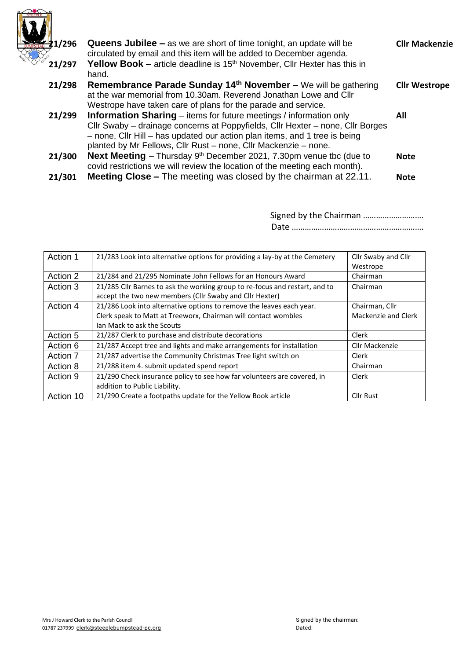

| 41/296 | <b>Queens Jubilee –</b> as we are short of time tonight, an update will be<br>circulated by email and this item will be added to December agenda.                                                                                                                                                            | <b>Cllr Mackenzie</b> |
|--------|--------------------------------------------------------------------------------------------------------------------------------------------------------------------------------------------------------------------------------------------------------------------------------------------------------------|-----------------------|
| 21/297 | <b>Yellow Book – article deadline is 15<sup>th</sup> November, Cllr Hexter has this in</b><br>hand.                                                                                                                                                                                                          |                       |
| 21/298 | Remembrance Parade Sunday 14th November - We will be gathering<br>at the war memorial from 10.30am. Reverend Jonathan Lowe and Cllr<br>Westrope have taken care of plans for the parade and service.                                                                                                         | <b>Cllr Westrope</b>  |
| 21/299 | <b>Information Sharing</b> – items for future meetings / information only<br>Cllr Swaby – drainage concerns at Poppyfields, Cllr Hexter – none, Cllr Borges<br>- none, Cllr Hill - has updated our action plan items, and 1 tree is being<br>planted by Mr Fellows, Cllr Rust – none, Cllr Mackenzie – none. | All                   |
| 21/300 | <b>Next Meeting</b> – Thursday $9th$ December 2021, 7.30pm venue tbc (due to<br>covid restrictions we will review the location of the meeting each month).                                                                                                                                                   | <b>Note</b>           |
| 21/301 | <b>Meeting Close –</b> The meeting was closed by the chairman at 22.11.                                                                                                                                                                                                                                      | <b>Note</b>           |

| Signed by the Chairman |  |  |
|------------------------|--|--|
|                        |  |  |

| Action 1  | 21/283 Look into alternative options for providing a lay-by at the Cemetery | Cllr Swaby and Cllr |  |
|-----------|-----------------------------------------------------------------------------|---------------------|--|
|           |                                                                             | Westrope            |  |
| Action 2  | 21/284 and 21/295 Nominate John Fellows for an Honours Award                | Chairman            |  |
| Action 3  | 21/285 Cllr Barnes to ask the working group to re-focus and restart, and to | Chairman            |  |
|           | accept the two new members (Cllr Swaby and Cllr Hexter)                     |                     |  |
| Action 4  | 21/286 Look into alternative options to remove the leaves each year.        | Chairman, Cllr      |  |
|           | Clerk speak to Matt at Treeworx, Chairman will contact wombles              | Mackenzie and Clerk |  |
|           | Jan Mack to ask the Scouts                                                  |                     |  |
| Action 5  | 21/287 Clerk to purchase and distribute decorations                         | Clerk               |  |
| Action 6  | 21/287 Accept tree and lights and make arrangements for installation        | Cllr Mackenzie      |  |
| Action 7  | 21/287 advertise the Community Christmas Tree light switch on               | Clerk               |  |
| Action 8  | 21/288 item 4. submit updated spend report                                  | Chairman            |  |
| Action 9  | 21/290 Check insurance policy to see how far volunteers are covered, in     | Clerk               |  |
|           | addition to Public Liability.                                               |                     |  |
| Action 10 | 21/290 Create a footpaths update for the Yellow Book article                | <b>Cllr Rust</b>    |  |